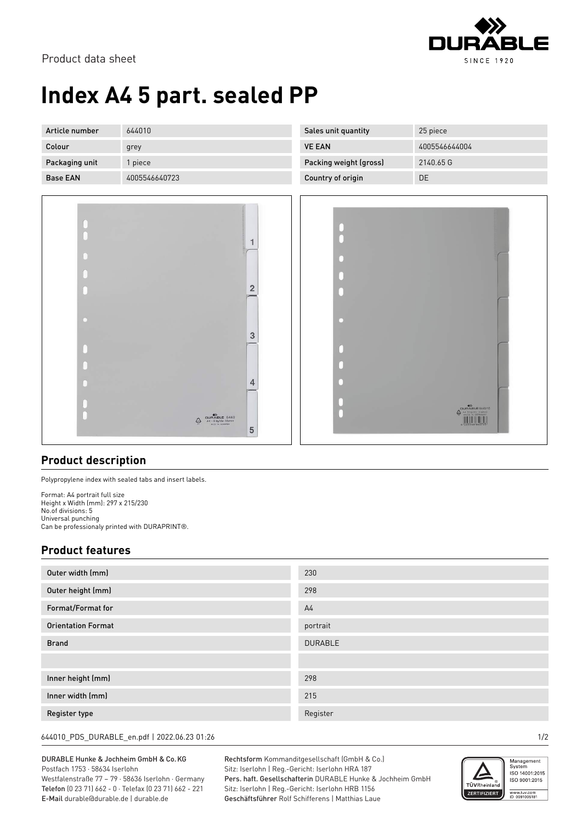

Product data sheet

## **Index A4 5 part. sealed PP**

| Article number  | 644010        | Sales unit quantity    | 25 piece      |
|-----------------|---------------|------------------------|---------------|
| Colour          | grey          | <b>VE EAN</b>          | 4005546644004 |
| Packaging unit  | piece         | Packing weight (gross) | 2140.65 G     |
| <b>Base EAN</b> | 4005546640723 | Country of origin      | DE            |
|                 |               |                        |               |



| г<br>ĥ | $\left\langle \begin{matrix} \text{DURABLE 6440/10} \\ \text{A4 single div binary} \\ \text{wave in unknown} \\ \text{A 005546/640723} \end{matrix} \right\rangle$ |
|--------|--------------------------------------------------------------------------------------------------------------------------------------------------------------------|

## **Product description**

Polypropylene index with sealed tabs and insert labels.

Format: A4 portrait full size Height x Width (mm): 297 x 215/230 No.of divisions: 5 Universal punching Can be professionaly printed with DURAPRINT®.

## **Product features**

| Outer width (mm)          | 230            |
|---------------------------|----------------|
| Outer height (mm)         | 298            |
| Format/Format for         | A <sub>4</sub> |
| <b>Orientation Format</b> | portrait       |
| <b>Brand</b>              | <b>DURABLE</b> |
|                           |                |
| Inner height (mm)         | 298            |
| Inner width (mm)          | 215            |
| Register type             | Register       |

644010\_PDS\_DURABLE\_en.pdf | 2022.06.23 01:26 1/2

DURABLE Hunke & Jochheim GmbH & Co.KG Postfach 1753 · 58634 Iserlohn

Westfalenstraße 77 – 79 · 58636 Iserlohn · Germany Telefon (0 23 71) 662 - 0 · Telefax (0 23 71) 662 - 221 E-Mail durable@durable.de | durable.de

Rechtsform Kommanditgesellschaft (GmbH & Co.) Sitz: Iserlohn | Reg.-Gericht: Iserlohn HRA 187 Pers. haft. Gesellschafterin DURABLE Hunke & Jochheim GmbH Sitz: Iserlohn | Reg.-Gericht: Iserlohn HRB 1156 Geschäftsführer Rolf Schifferens | Matthias Laue